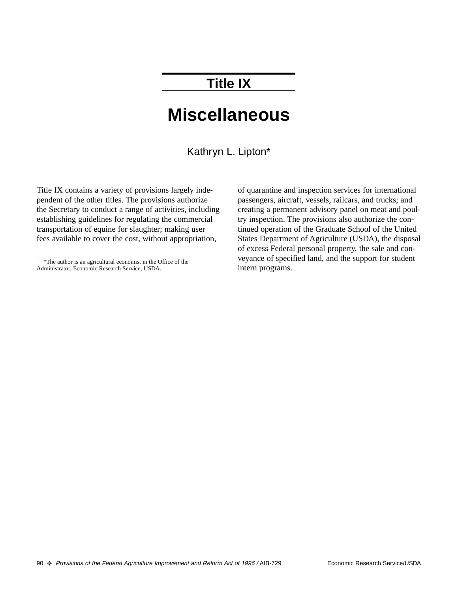# **Title IX**

# **Miscellaneous**

Kathryn L. Lipton\*

Title IX contains a variety of provisions largely independent of the other titles. The provisions authorize the Secretary to conduct a range of activities, including establishing guidelines for regulating the commercial transportation of equine for slaughter; making user fees available to cover the cost, without appropriation,

of quarantine and inspection services for international passengers, aircraft, vessels, railcars, and trucks; and creating a permanent advisory panel on meat and poultry inspection. The provisions also authorize the continued operation of the Graduate School of the United States Department of Agriculture (USDA), the disposal of excess Federal personal property, the sale and conveyance of specified land, and the support for student intern programs.

<sup>\*</sup>The author is an agricultural economist in the Office of the Administrator, Economic Research Service, USDA.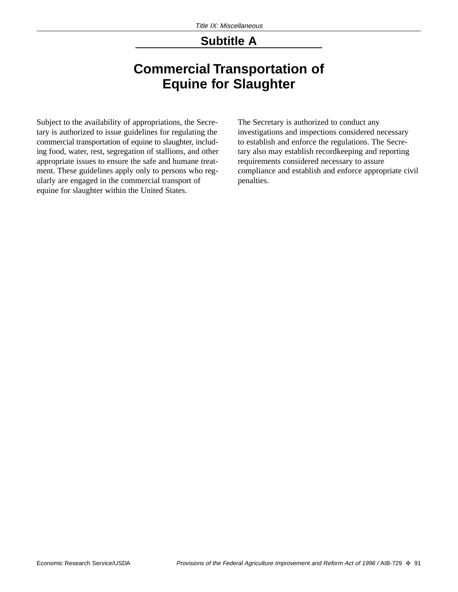### **Subtitle A**

# **Commercial Transportation of Equine for Slaughter**

Subject to the availability of appropriations, the Secretary is authorized to issue guidelines for regulating the commercial transportation of equine to slaughter, including food, water, rest, segregation of stallions, and other appropriate issues to ensure the safe and humane treatment. These guidelines apply only to persons who regularly are engaged in the commercial transport of equine for slaughter within the United States.

The Secretary is authorized to conduct any investigations and inspections considered necessary to establish and enforce the regulations. The Secretary also may establish recordkeeping and reporting requirements considered necessary to assure compliance and establish and enforce appropriate civil penalties.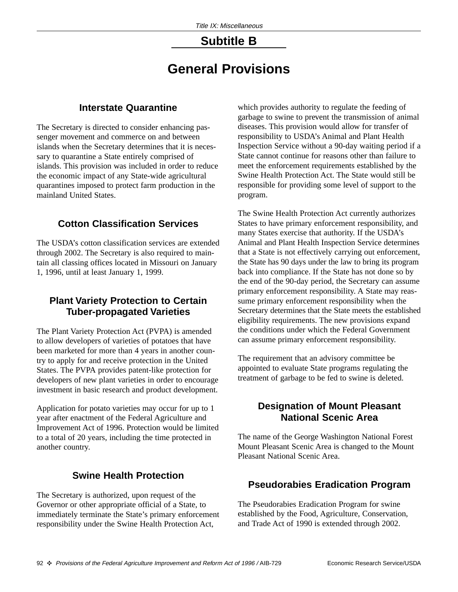# **Subtitle B**

# **General Provisions**

#### **Interstate Quarantine**

The Secretary is directed to consider enhancing passenger movement and commerce on and between islands when the Secretary determines that it is necessary to quarantine a State entirely comprised of islands. This provision was included in order to reduce the economic impact of any State-wide agricultural quarantines imposed to protect farm production in the mainland United States.

### **Cotton Classification Services**

The USDA's cotton classification services are extended through 2002. The Secretary is also required to maintain all classing offices located in Missouri on January 1, 1996, until at least January 1, 1999.

#### **Plant Variety Protection to Certain Tuber-propagated Varieties**

The Plant Variety Protection Act (PVPA) is amended to allow developers of varieties of potatoes that have been marketed for more than 4 years in another country to apply for and receive protection in the United States. The PVPA provides patent-like protection for developers of new plant varieties in order to encourage investment in basic research and product development.

Application for potato varieties may occur for up to 1 year after enactment of the Federal Agriculture and Improvement Act of 1996. Protection would be limited to a total of 20 years, including the time protected in another country.

#### **Swine Health Protection**

The Secretary is authorized, upon request of the Governor or other appropriate official of a State, to immediately terminate the State's primary enforcement responsibility under the Swine Health Protection Act,

which provides authority to regulate the feeding of garbage to swine to prevent the transmission of animal diseases. This provision would allow for transfer of responsibility to USDA's Animal and Plant Health Inspection Service without a 90-day waiting period if a State cannot continue for reasons other than failure to meet the enforcement requirements established by the Swine Health Protection Act. The State would still be responsible for providing some level of support to the program.

The Swine Health Protection Act currently authorizes States to have primary enforcement responsibility, and many States exercise that authority. If the USDA's Animal and Plant Health Inspection Service determines that a State is not effectively carrying out enforcement, the State has 90 days under the law to bring its program back into compliance. If the State has not done so by the end of the 90-day period, the Secretary can assume primary enforcement responsibility. A State may reassume primary enforcement responsibility when the Secretary determines that the State meets the established eligibility requirements. The new provisions expand the conditions under which the Federal Government can assume primary enforcement responsibility.

The requirement that an advisory committee be appointed to evaluate State programs regulating the treatment of garbage to be fed to swine is deleted.

#### **Designation of Mount Pleasant National Scenic Area**

The name of the George Washington National Forest Mount Pleasant Scenic Area is changed to the Mount Pleasant National Scenic Area.

#### **Pseudorabies Eradication Program**

The Pseudorabies Eradication Program for swine established by the Food, Agriculture, Conservation, and Trade Act of 1990 is extended through 2002.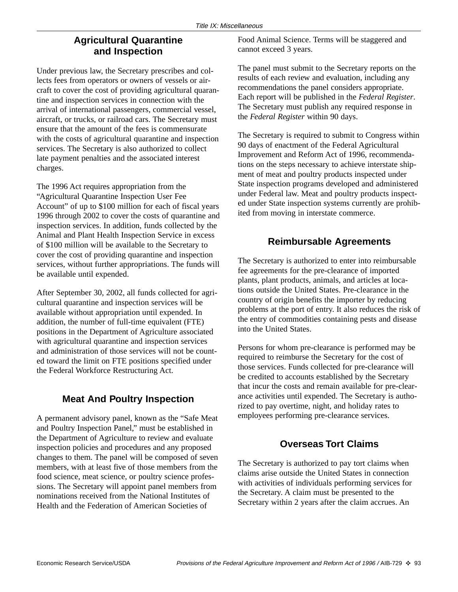#### **Agricultural Quarantine and Inspection**

Under previous law, the Secretary prescribes and collects fees from operators or owners of vessels or aircraft to cover the cost of providing agricultural quarantine and inspection services in connection with the arrival of international passengers, commercial vessel, aircraft, or trucks, or railroad cars. The Secretary must ensure that the amount of the fees is commensurate with the costs of agricultural quarantine and inspection services. The Secretary is also authorized to collect late payment penalties and the associated interest charges.

The 1996 Act requires appropriation from the "Agricultural Quarantine Inspection User Fee Account" of up to \$100 million for each of fiscal years 1996 through 2002 to cover the costs of quarantine and inspection services. In addition, funds collected by the Animal and Plant Health Inspection Service in excess of \$100 million will be available to the Secretary to cover the cost of providing quarantine and inspection services, without further appropriations. The funds will be available until expended.

After September 30, 2002, all funds collected for agricultural quarantine and inspection services will be available without appropriation until expended. In addition, the number of full-time equivalent (FTE) positions in the Department of Agriculture associated with agricultural quarantine and inspection services and administration of those services will not be counted toward the limit on FTE positions specified under the Federal Workforce Restructuring Act.

### **Meat And Poultry Inspection**

A permanent advisory panel, known as the "Safe Meat and Poultry Inspection Panel," must be established in the Department of Agriculture to review and evaluate inspection policies and procedures and any proposed changes to them. The panel will be composed of seven members, with at least five of those members from the food science, meat science, or poultry science professions. The Secretary will appoint panel members from nominations received from the National Institutes of Health and the Federation of American Societies of

Food Animal Science. Terms will be staggered and cannot exceed 3 years.

The panel must submit to the Secretary reports on the results of each review and evaluation, including any recommendations the panel considers appropriate. Each report will be published in the *Federal Register*. The Secretary must publish any required response in the *Federal Register* within 90 days.

The Secretary is required to submit to Congress within 90 days of enactment of the Federal Agricultural Improvement and Reform Act of 1996, recommendations on the steps necessary to achieve interstate shipment of meat and poultry products inspected under State inspection programs developed and administered under Federal law. Meat and poultry products inspected under State inspection systems currently are prohibited from moving in interstate commerce.

#### **Reimbursable Agreements**

The Secretary is authorized to enter into reimbursable fee agreements for the pre-clearance of imported plants, plant products, animals, and articles at locations outside the United States. Pre-clearance in the country of origin benefits the importer by reducing problems at the port of entry. It also reduces the risk of the entry of commodities containing pests and disease into the United States.

Persons for whom pre-clearance is performed may be required to reimburse the Secretary for the cost of those services. Funds collected for pre-clearance will be credited to accounts established by the Secretary that incur the costs and remain available for pre-clearance activities until expended. The Secretary is authorized to pay overtime, night, and holiday rates to employees performing pre-clearance services.

### **Overseas Tort Claims**

The Secretary is authorized to pay tort claims when claims arise outside the United States in connection with activities of individuals performing services for the Secretary. A claim must be presented to the Secretary within 2 years after the claim accrues. An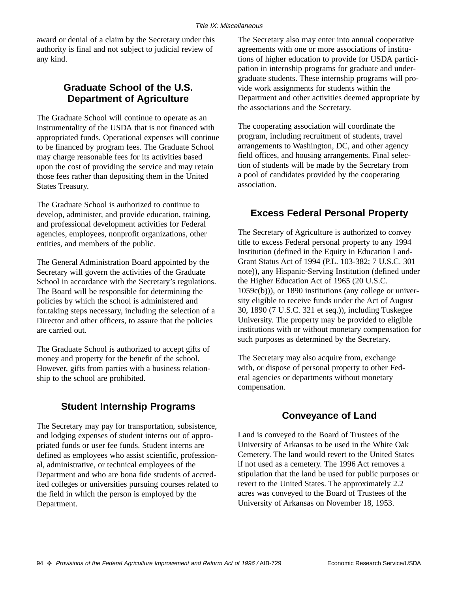award or denial of a claim by the Secretary under this authority is final and not subject to judicial review of any kind.

#### **Graduate School of the U.S. Department of Agriculture**

The Graduate School will continue to operate as an instrumentality of the USDA that is not financed with appropriated funds. Operational expenses will continue to be financed by program fees. The Graduate School may charge reasonable fees for its activities based upon the cost of providing the service and may retain those fees rather than depositing them in the United States Treasury.

The Graduate School is authorized to continue to develop, administer, and provide education, training, and professional development activities for Federal agencies, employees, nonprofit organizations, other entities, and members of the public.

The General Administration Board appointed by the Secretary will govern the activities of the Graduate School in accordance with the Secretary's regulations. The Board will be responsible for determining the policies by which the school is administered and for.taking steps necessary, including the selection of a Director and other officers, to assure that the policies are carried out.

The Graduate School is authorized to accept gifts of money and property for the benefit of the school. However, gifts from parties with a business relationship to the school are prohibited.

#### **Student Internship Programs**

The Secretary may pay for transportation, subsistence, and lodging expenses of student interns out of appropriated funds or user fee funds. Student interns are defined as employees who assist scientific, professional, administrative, or technical employees of the Department and who are bona fide students of accredited colleges or universities pursuing courses related to the field in which the person is employed by the Department.

The Secretary also may enter into annual cooperative agreements with one or more associations of institutions of higher education to provide for USDA participation in internship programs for graduate and undergraduate students. These internship programs will provide work assignments for students within the Department and other activities deemed appropriate by the associations and the Secretary.

The cooperating association will coordinate the program, including recruitment of students, travel arrangements to Washington, DC, and other agency field offices, and housing arrangements. Final selection of students will be made by the Secretary from a pool of candidates provided by the cooperating association.

#### **Excess Federal Personal Property**

The Secretary of Agriculture is authorized to convey title to excess Federal personal property to any 1994 Institution (defined in the Equity in Education Land-Grant Status Act of 1994 (P.L. 103-382; 7 U.S.C. 301 note)), any Hispanic-Serving Institution (defined under the Higher Education Act of 1965 (20 U.S.C. 1059c(b))), or 1890 institutions (any college or university eligible to receive funds under the Act of August 30, 1890 (7 U.S.C. 321 et seq.)), including Tuskegee University. The property may be provided to eligible institutions with or without monetary compensation for such purposes as determined by the Secretary.

The Secretary may also acquire from, exchange with, or dispose of personal property to other Federal agencies or departments without monetary compensation.

#### **Conveyance of Land**

Land is conveyed to the Board of Trustees of the University of Arkansas to be used in the White Oak Cemetery. The land would revert to the United States if not used as a cemetery. The 1996 Act removes a stipulation that the land be used for public purposes or revert to the United States. The approximately 2.2 acres was conveyed to the Board of Trustees of the University of Arkansas on November 18, 1953.